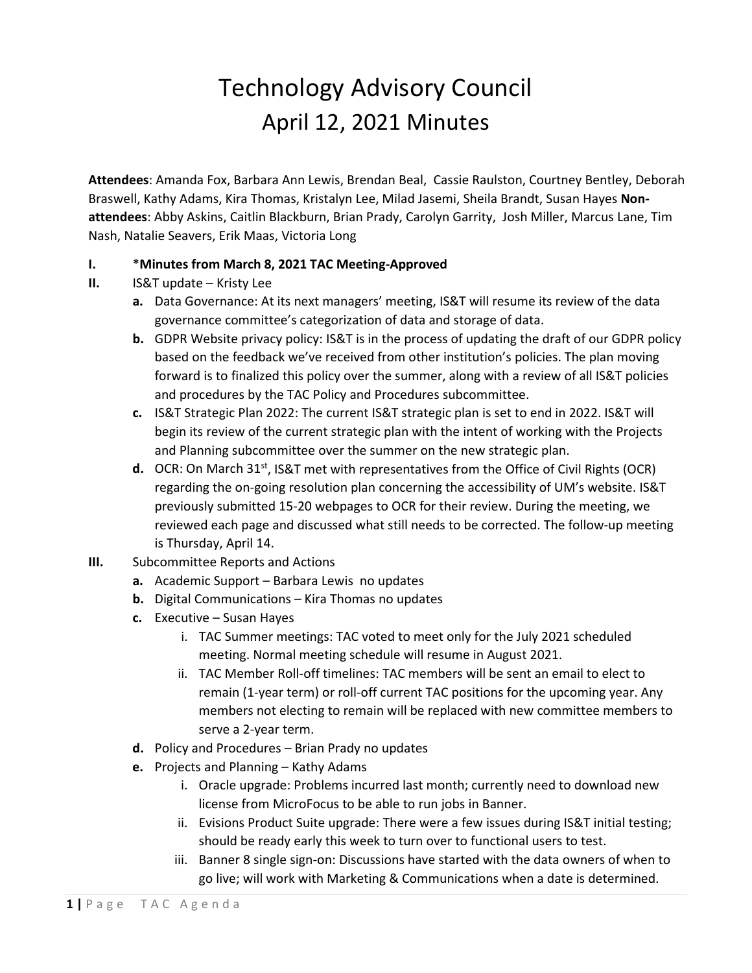## Technology Advisory Council April 12, 2021 Minutes

**Attendees**: Amanda Fox, Barbara Ann Lewis, Brendan Beal, Cassie Raulston, Courtney Bentley, Deborah Braswell, Kathy Adams, Kira Thomas, Kristalyn Lee, Milad Jasemi, Sheila Brandt, Susan Hayes **Nonattendees**: Abby Askins, Caitlin Blackburn, Brian Prady, Carolyn Garrity, Josh Miller, Marcus Lane, Tim Nash, Natalie Seavers, Erik Maas, Victoria Long

## **I.** \***Minutes from March 8, 2021 TAC Meeting-Approved**

- **II.** IS&T update Kristy Lee
	- **a.** Data Governance: At its next managers' meeting, IS&T will resume its review of the data governance committee's categorization of data and storage of data.
	- **b.** GDPR Website privacy policy: IS&T is in the process of updating the draft of our GDPR policy based on the feedback we've received from other institution's policies. The plan moving forward is to finalized this policy over the summer, along with a review of all IS&T policies and procedures by the TAC Policy and Procedures subcommittee.
	- **c.** IS&T Strategic Plan 2022: The current IS&T strategic plan is set to end in 2022. IS&T will begin its review of the current strategic plan with the intent of working with the Projects and Planning subcommittee over the summer on the new strategic plan.
	- **d.** OCR: On March 31<sup>st</sup>, IS&T met with representatives from the Office of Civil Rights (OCR) regarding the on-going resolution plan concerning the accessibility of UM's website. IS&T previously submitted 15-20 webpages to OCR for their review. During the meeting, we reviewed each page and discussed what still needs to be corrected. The follow-up meeting is Thursday, April 14.
- **III.** Subcommittee Reports and Actions
	- **a.** Academic Support Barbara Lewis no updates
	- **b.** Digital Communications Kira Thomas no updates
	- **c.** Executive Susan Hayes
		- i. TAC Summer meetings: TAC voted to meet only for the July 2021 scheduled meeting. Normal meeting schedule will resume in August 2021.
		- ii. TAC Member Roll-off timelines: TAC members will be sent an email to elect to remain (1-year term) or roll-off current TAC positions for the upcoming year. Any members not electing to remain will be replaced with new committee members to serve a 2-year term.
	- **d.** Policy and Procedures Brian Prady no updates
	- **e.** Projects and Planning Kathy Adams
		- i. Oracle upgrade: Problems incurred last month; currently need to download new license from MicroFocus to be able to run jobs in Banner.
		- ii. Evisions Product Suite upgrade: There were a few issues during IS&T initial testing; should be ready early this week to turn over to functional users to test.
		- iii. Banner 8 single sign-on: Discussions have started with the data owners of when to go live; will work with Marketing & Communications when a date is determined.